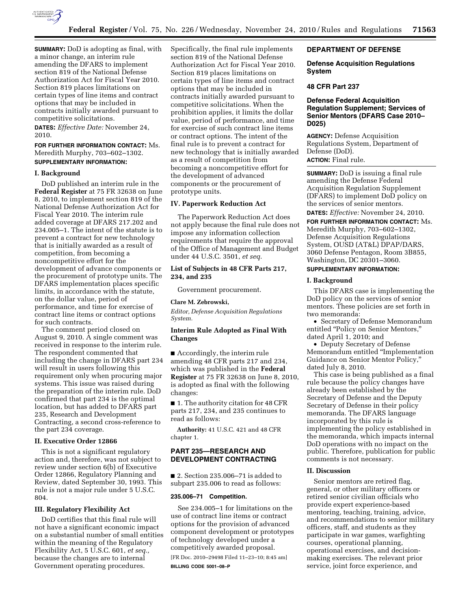

**SUMMARY:** DoD is adopting as final, with a minor change, an interim rule amending the DFARS to implement section 819 of the National Defense Authorization Act for Fiscal Year 2010. Section 819 places limitations on certain types of line items and contract options that may be included in contracts initially awarded pursuant to competitive solicitations.

**DATES:** *Effective Date:* November 24, 2010.

## **FOR FURTHER INFORMATION CONTACT:** Ms. Meredith Murphy, 703–602–1302. **SUPPLEMENTARY INFORMATION:**

# **I. Background**

DoD published an interim rule in the **Federal Register** at 75 FR 32638 on June 8, 2010, to implement section 819 of the National Defense Authorization Act for Fiscal Year 2010. The interim rule added coverage at DFARS 217.202 and 234.005–1. The intent of the statute is to prevent a contract for new technology that is initially awarded as a result of competition, from becoming a noncompetitive effort for the development of advance components or the procurement of prototype units. The DFARS implementation places specific limits, in accordance with the statute, on the dollar value, period of performance, and time for exercise of contract line items or contract options for such contracts.

The comment period closed on August 9, 2010. A single comment was received in response to the interim rule. The respondent commented that including the change in DFARS part 234 will result in users following this requirement only when procuring major systems. This issue was raised during the preparation of the interim rule. DoD confirmed that part 234 is the optimal location, but has added to DFARS part 235, Research and Development Contracting, a second cross-reference to the part 234 coverage.

### **II. Executive Order 12866**

This is not a significant regulatory action and, therefore, was not subject to review under section 6(b) of Executive Order 12866, Regulatory Planning and Review, dated September 30, 1993. This rule is not a major rule under 5 U.S.C. 804.

### **III. Regulatory Flexibility Act**

DoD certifies that this final rule will not have a significant economic impact on a substantial number of small entities within the meaning of the Regulatory Flexibility Act, 5 U.S.C. 601, *et seq.,*  because the changes are to internal Government operating procedures.

Specifically, the final rule implements section 819 of the National Defense Authorization Act for Fiscal Year 2010. Section 819 places limitations on certain types of line items and contract options that may be included in contracts initially awarded pursuant to competitive solicitations. When the prohibition applies, it limits the dollar value, period of performance, and time for exercise of such contract line items or contract options. The intent of the final rule is to prevent a contract for new technology that is initially awarded as a result of competition from becoming a noncompetitive effort for the development of advanced components or the procurement of prototype units.

### **IV. Paperwork Reduction Act**

The Paperwork Reduction Act does not apply because the final rule does not impose any information collection requirements that require the approval of the Office of Management and Budget under 44 U.S.C. 3501, *et seq.* 

# **List of Subjects in 48 CFR Parts 217, 234, and 235**

Government procurement.

#### **Clare M. Zebrowski,**

*Editor, Defense Acquisition Regulations System.* 

## **Interim Rule Adopted as Final With Changes**

■ Accordingly, the interim rule amending 48 CFR parts 217 and 234, which was published in the **Federal Register** at 75 FR 32638 on June 8, 2010, is adopted as final with the following changes:

■ 1. The authority citation for 48 CFR parts 217, 234, and 235 continues to read as follows:

**Authority:** 41 U.S.C. 421 and 48 CFR chapter 1.

# **PART 235—RESEARCH AND DEVELOPMENT CONTRACTING**

■ 2. Section 235,006–71 is added to subpart 235.006 to read as follows:

#### **235.006–71 Competition.**

See 234.005–1 for limitations on the use of contract line items or contract options for the provision of advanced component development or prototypes of technology developed under a competitively awarded proposal. [FR Doc. 2010–29498 Filed 11–23–10; 8:45 am]

**BILLING CODE 5001–08–P** 

# **DEPARTMENT OF DEFENSE**

### **Defense Acquisition Regulations System**

### **48 CFR Part 237**

### **Defense Federal Acquisition Regulation Supplement; Services of Senior Mentors (DFARS Case 2010– D025)**

**AGENCY:** Defense Acquisition Regulations System, Department of Defense (DoD).

**ACTION:** Final rule.

**SUMMARY:** DoD is issuing a final rule amending the Defense Federal Acquisition Regulation Supplement (DFARS) to implement DoD policy on the services of senior mentors.

**DATES:** *Effective:* November 24, 2010.

**FOR FURTHER INFORMATION CONTACT:** Ms. Meredith Murphy, 703–602–1302, Defense Acquisition Regulations System, OUSD (AT&L) DPAP/DARS, 3060 Defense Pentagon, Room 3B855, Washington, DC 20301–3060.

### **SUPPLEMENTARY INFORMATION:**

#### **I. Background**

This DFARS case is implementing the DoD policy on the services of senior mentors. These policies are set forth in two memoranda:

• Secretary of Defense Memorandum entitled "Policy on Senior Mentors," dated April 1, 2010; and

• Deputy Secretary of Defense Memorandum entitled ''Implementation Guidance on Senior Mentor Policy,'' dated July 8, 2010.

This case is being published as a final rule because the policy changes have already been established by the Secretary of Defense and the Deputy Secretary of Defense in their policy memoranda. The DFARS language incorporated by this rule is implementing the policy established in the memoranda, which impacts internal DoD operations with no impact on the public. Therefore, publication for public comments is not necessary.

## **II. Discussion**

Senior mentors are retired flag, general, or other military officers or retired senior civilian officials who provide expert experience-based mentoring, teaching, training, advice, and recommendations to senior military officers, staff, and students as they participate in war games, warfighting courses, operational planning, operational exercises, and decisionmaking exercises. The relevant prior service, joint force experience, and